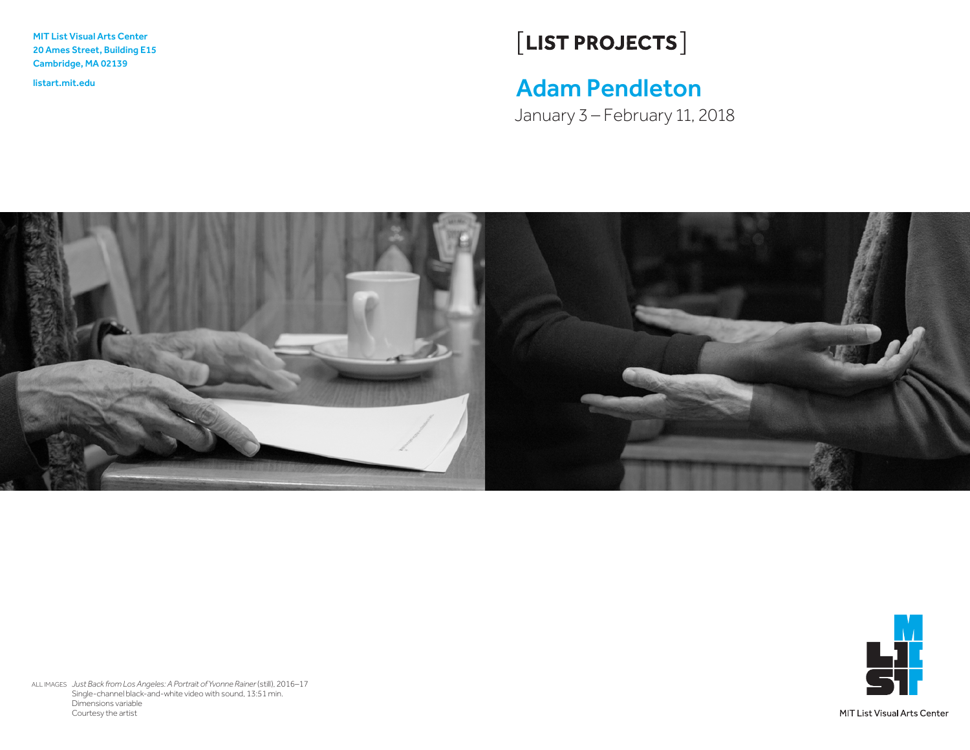MIT List Visual Arts Center 20 Ames Street, Building E15 Cambridge, MA 02139

# $[LIST PROJECTS]$

## listart.mit.edu Adam Pendleton

January 3 – February 11, 2018





ALL IMAGES *Just Back from Los Angeles: A Portrait of Yvonne Rainer*(still), 2016–17 Single-channel black-and-white video with sound, 13:51 min. Dimensions variable Courtesy the artist